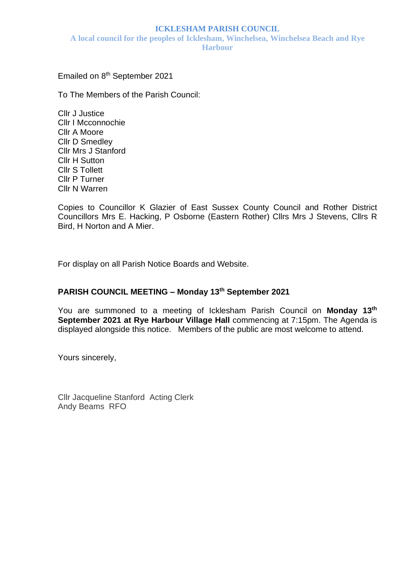#### **ICKLESHAM PARISH COUNCIL**

**A local council for the peoples of Icklesham, Winchelsea, Winchelsea Beach and Rye Harbour**

Emailed on 8<sup>th</sup> September 2021

To The Members of the Parish Council:

Cllr J Justice Cllr I Mcconnochie Cllr A Moore Cllr D Smedley Cllr Mrs J Stanford Cllr H Sutton Cllr S Tollett Cllr P Turner Cllr N Warren

Copies to Councillor K Glazier of East Sussex County Council and Rother District Councillors Mrs E. Hacking, P Osborne (Eastern Rother) Cllrs Mrs J Stevens, Cllrs R Bird, H Norton and A Mier.

For display on all Parish Notice Boards and Website.

# **PARISH COUNCIL MEETING – Monday 13 th September 2021**

You are summoned to a meeting of Icklesham Parish Council on Monday 13<sup>th</sup> **September 2021 at Rye Harbour Village Hall** commencing at 7:15pm. The Agenda is displayed alongside this notice. Members of the public are most welcome to attend.

Yours sincerely,

Cllr Jacqueline Stanford Acting Clerk Andy Beams RFO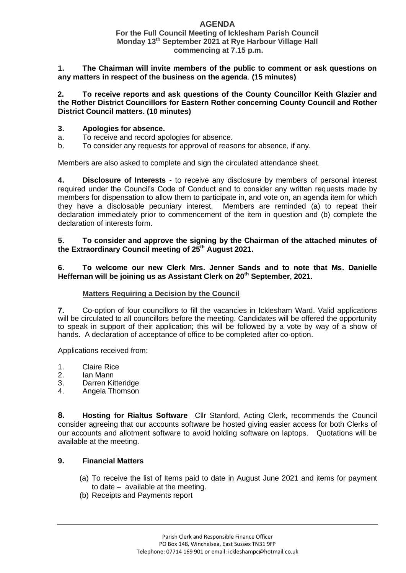## **AGENDA**

#### **For the Full Council Meeting of Icklesham Parish Council Monday 13 th September 2021 at Rye Harbour Village Hall commencing at 7.15 p.m.**

**1. The Chairman will invite members of the public to comment or ask questions on any matters in respect of the business on the agenda**. **(15 minutes)**

**2. To receive reports and ask questions of the County Councillor Keith Glazier and the Rother District Councillors for Eastern Rother concerning County Council and Rother District Council matters. (10 minutes)**

#### **3. Apologies for absence.**

- a. To receive and record apologies for absence.
- b. To consider any requests for approval of reasons for absence, if any.

Members are also asked to complete and sign the circulated attendance sheet.

**4. Disclosure of Interests** - to receive any disclosure by members of personal interest required under the Council's Code of Conduct and to consider any written requests made by members for dispensation to allow them to participate in, and vote on, an agenda item for which they have a disclosable pecuniary interest. Members are reminded (a) to repeat their declaration immediately prior to commencement of the item in question and (b) complete the declaration of interests form.

## **5. To consider and approve the signing by the Chairman of the attached minutes of the Extraordinary Council meeting of 25 th August 2021.**

#### **6. To welcome our new Clerk Mrs. Jenner Sands and to note that Ms. Danielle Heffernan will be joining us as Assistant Clerk on 20th September, 2021.**

## **Matters Requiring a Decision by the Council**

**7.** Co-option of four councillors to fill the vacancies in Icklesham Ward. Valid applications will be circulated to all councillors before the meeting. Candidates will be offered the opportunity to speak in support of their application; this will be followed by a vote by way of a show of hands. A declaration of acceptance of office to be completed after co-option.

Applications received from:

- 1. Claire Rice
- 2. Ian Mann
- 3. Darren Kitteridge
- 4. Angela Thomson

**8. Hosting for Rialtus Software** Cllr Stanford, Acting Clerk, recommends the Council consider agreeing that our accounts software be hosted giving easier access for both Clerks of our accounts and allotment software to avoid holding software on laptops.Quotations will be available at the meeting.

## **9. Financial Matters**

- (a) To receive the list of Items paid to date in August June 2021 and items for payment to date – available at the meeting.
- (b) Receipts and Payments report